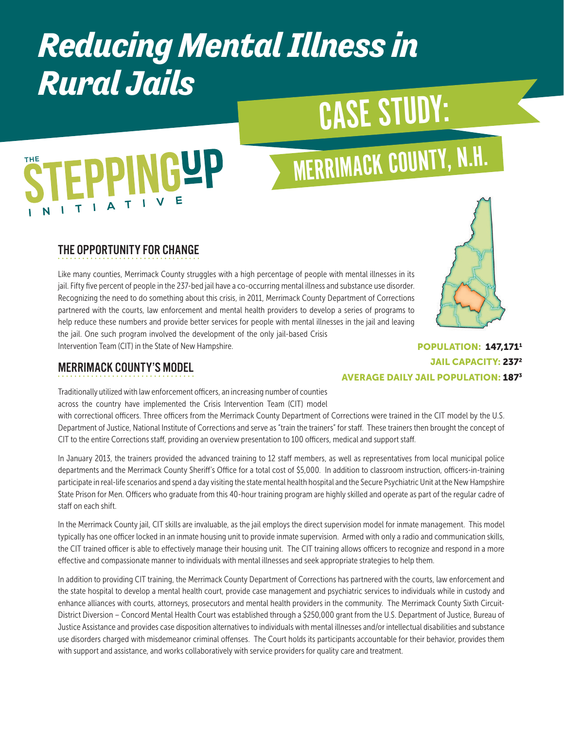## *Reducing Mental Illness in Rural Jails*

## CASE STUDY:

# **EPPINGYP**

## MERRIMACK COUNTY, N.H.

#### THE OPPORTUNITY FOR CHANGE

Like many counties, Merrimack County struggles with a high percentage of people with mental illnesses in its jail. Fifty five percent of people in the 237-bed jail have a co-occurring mental illness and substance use disorder. Recognizing the need to do something about this crisis, in 2011, Merrimack County Department of Corrections partnered with the courts, law enforcement and mental health providers to develop a series of programs to help reduce these numbers and provide better services for people with mental illnesses in the jail and leaving the jail. One such program involved the development of the only jail-based Crisis Intervention Team (CIT) in the State of New Hampshire.

#### MERRIMACK COUNTY'S MODEL

Traditionally utilized with law enforcement officers, an increasing number of counties across the country have implemented the Crisis Intervention Team (CIT) model

with correctional officers. Three officers from the Merrimack County Department of Corrections were trained in the CIT model by the U.S. Department of Justice, National Institute of Corrections and serve as "train the trainers" for staff. These trainers then brought the concept of CIT to the entire Corrections staff, providing an overview presentation to 100 officers, medical and support staff.

In January 2013, the trainers provided the advanced training to 12 staff members, as well as representatives from local municipal police departments and the Merrimack County Sheriff's Office for a total cost of \$5,000. In addition to classroom instruction, officers-in-training participate in real-life scenarios and spend a day visiting the state mental health hospital and the Secure Psychiatric Unit at the New Hampshire State Prison for Men. Officers who graduate from this 40-hour training program are highly skilled and operate as part of the regular cadre of staff on each shift.

In the Merrimack County jail, CIT skills are invaluable, as the jail employs the direct supervision model for inmate management. This model typically has one officer locked in an inmate housing unit to provide inmate supervision. Armed with only a radio and communication skills, the CIT trained officer is able to effectively manage their housing unit. The CIT training allows officers to recognize and respond in a more effective and compassionate manner to individuals with mental illnesses and seek appropriate strategies to help them.

In addition to providing CIT training, the Merrimack County Department of Corrections has partnered with the courts, law enforcement and the state hospital to develop a mental health court, provide case management and psychiatric services to individuals while in custody and enhance alliances with courts, attorneys, prosecutors and mental health providers in the community. The Merrimack County Sixth Circuit-District Diversion – Concord Mental Health Court was established through a \$250,000 grant from the U.S. Department of Justice, Bureau of Justice Assistance and provides case disposition alternatives to individuals with mental illnesses and/or intellectual disabilities and substance use disorders charged with misdemeanor criminal offenses. The Court holds its participants accountable for their behavior, provides them with support and assistance, and works collaboratively with service providers for quality care and treatment.

#### POPULATION: 147,1711 JAIL CAPACITY: 2372 AVERAGE DAILY JAIL POPULATION: 1873